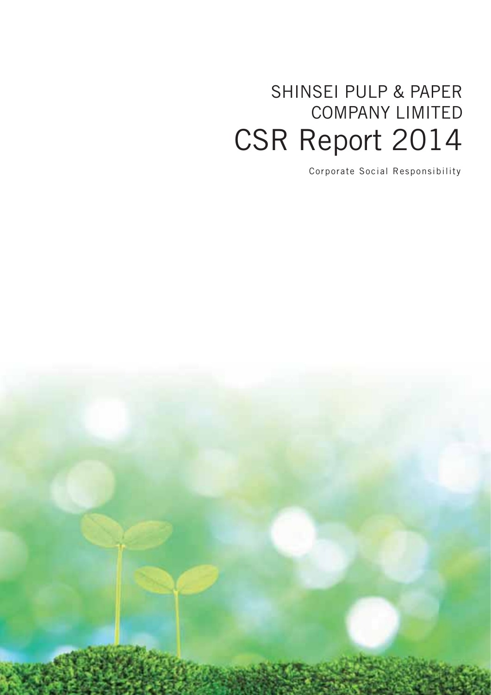## SHINSEI PULP & PAPER COMPANY LIMITED CSR Report 2014

Corporate Social Responsibility

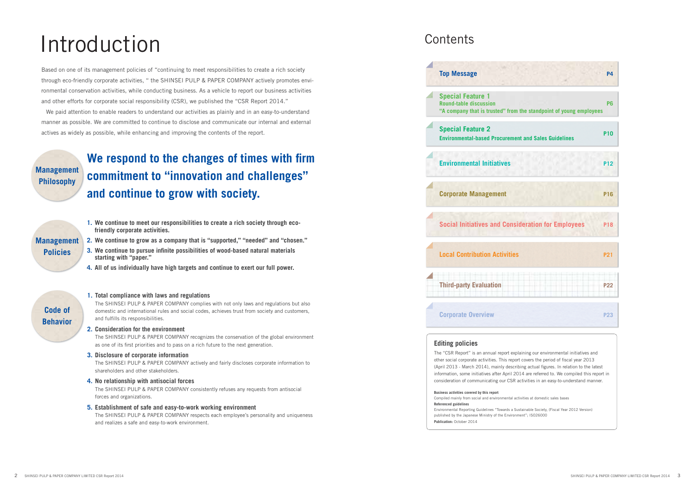# Introduction

Based on one of its management policies of "continuing to meet responsibilities to create a rich society through eco-friendly corporate activities, " the SHINSEI PULP & PAPER COMPANY actively promotes environmental conservation activities, while conducting business. As a vehicle to report our business activities and other efforts for corporate social responsibility (CSR), we published the "CSR Report 2014."

## **We respond to the changes of times with firm commitment to "innovation and challenges" and continue to grow with society.**

We paid attention to enable readers to understand our activities as plainly and in an easy-to-understand manner as possible. We are committed to continue to disclose and communicate our internal and external actives as widely as possible, while enhancing and improving the contents of the report.

> The SHINSEI PULP & PAPER COMPANY complies with not only laws and regulations but also domestic and international rules and social codes, achieves trust from society and customers, and fulfills its responsibilities.

The SHINSEI PULP & PAPER COMPANY recognizes the conservation of the global environment as one of its first priorities and to pass on a rich future to the next generation.

**Management Philosophy**

- **Management Policies**
- **1. We continue to meet our responsibilities to create a rich society through ecofriendly corporate activities.**
- **2. We continue to grow as a company that is "supported," "needed" and "chosen."**
- **3. We continue to pursue infinite possibilities of wood-based natural materials starting with "paper."**
- **4. All of us individually have high targets and continue to exert our full power.**

#### **1. Total compliance with laws and regulations**

#### **2. Consideration for the environment**

#### **3. Disclosure of corporate information**

The SHINSEI PULP & PAPER COMPANY actively and fairly discloses corporate information to shareholders and other stakeholders.

#### **4. No relationship with antisocial forces**

The SHINSEI PULP & PAPER COMPANY consistently refuses any requests from antisocial forces and organizations.

#### **5. Establishment of safe and easy-to-work working environment**

The SHINSEI PULP & PAPER COMPANY respects each employee's personality and uniqueness and realizes a safe and easy-to-work environment.

### **Contents**



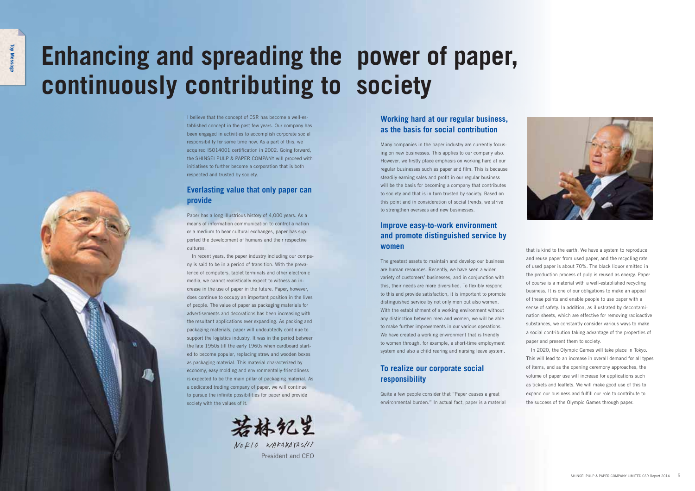I believe that the concept of CSR has become a well-established concept in the past few years. Our company has been engaged in activities to accomplish corporate social responsibility for some time now. As a part of this, we acquired ISO14001 certification in 2002. Going forward, the SHINSEI PULP & PAPER COMPANY will proceed with initiatives to further become a corporation that is both respected and trusted by society.

### **Everlasting value that only paper can provide**

Paper has a long illustrious history of 4,000 years. As a means of information communication to control a nation or a medium to bear cultural exchanges, paper has supported the development of humans and their respective cultures.



In recent years, the paper industry including our company is said to be in a period of transition. With the prevalence of computers, tablet terminals and other electronic media, we cannot realistically expect to witness an increase in the use of paper in the future. Paper, however, does continue to occupy an important position in the lives of people. The value of paper as packaging materials for advertisements and decorations has been increasing with the resultant applications ever expanding. As packing and packaging materials, paper will undoubtedly continue to support the logistics industry. It was in the period between the late 1950s till the early 1960s when cardboard started to become popular, replacing straw and wooden boxes as packaging material. This material characterized by economy, easy molding and environmentally-friendliness is expected to be the main pillar of packaging material. As a dedicated trading company of paper, we will continue to pursue the infinite possibilities for paper and provide society with the values of it.



# **Enhancing and spreading the power of paper, continuously contributing to society**

### **Working hard at our regular business, as the basis for social contribution**

Many companies in the paper industry are currently focusing on new businesses. This applies to our company also. However, we firstly place emphasis on working hard at our regular businesses such as paper and film. This is because steadily earning sales and profit in our regular business will be the basis for becoming a company that contributes to society and that is in turn trusted by society. Based on this point and in consideration of social trends, we strive to strengthen overseas and new businesses.

NORIO WAKABAYASHI President and CEO

### **Improve easy-to-work environment and promote distinguished service by women**

The greatest assets to maintain and develop our business are human resources. Recently, we have seen a wider variety of customers' businesses, and in conjunction with this, their needs are more diversified. To flexibly respond to this and provide satisfaction, it is important to promote distinguished service by not only men but also women. With the establishment of a working environment without any distinction between men and women, we will be able to make further improvements in our various operations. We have created a working environment that is friendly to women through, for example, a short-time employment system and also a child rearing and nursing leave system.

### **To realize our corporate social responsibility**

Quite a few people consider that "Paper causes a great environmental burden." In actual fact, paper is a material that is kind to the earth. We have a system to reproduce and reuse paper from used paper, and the recycling rate of used paper is about 70%. The black liquor emitted in the production process of pulp is reused as energy. Paper of course is a material with a well-established recycling business. It is one of our obligations to make an appeal of these points and enable people to use paper with a sense of safety. In addition, as illustrated by decontamination sheets, which are effective for removing radioactive substances, we constantly consider various ways to make a social contribution taking advantage of the properties of paper and present them to society.

In 2020, the Olympic Games will take place in Tokyo. This will lead to an increase in overall demand for all types of items, and as the opening ceremony approaches, the volume of paper use will increase for applications such as tickets and leaflets. We will make good use of this to expand our business and fulfill our role to contribute to the success of the Olympic Games through paper.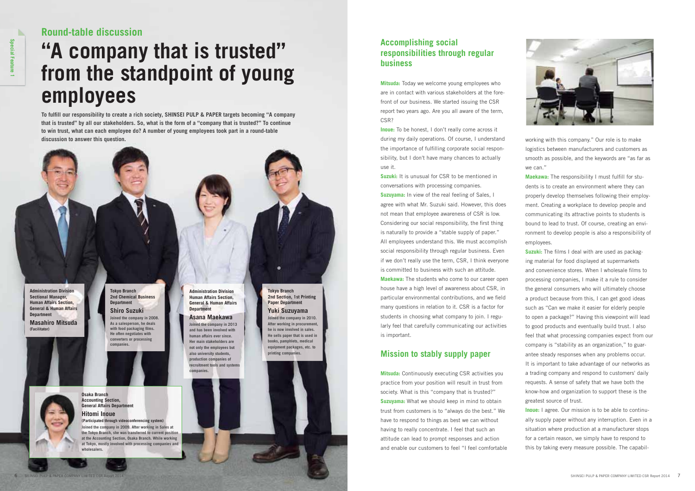# **"A company that is trusted" from the standpoint of young employees**

To fulfill our responsibility to create a rich society, SHINSEI PULP & PAPER targets becoming "A company **that is trusted" by all our stakeholders. So, what is the form of a "company that is trusted?" To continue to win trust, what can each employee do? A number of young employees took part in a round-table discussion to answer this question.**

**Osaka Branch Accounting Section, General Affairs Department** 

**Hitomi Inoue**

**(Participated through videoconferencing system) Joined the company in 2009. After working in Sales at the Tokyo Branch, she was transferred to current position at the Accounting Section, Osaka Branch. While working at Tokyo, mostly involved with processing companies and** 



**wholesalers.**

### **Round-table discussion**

#### **Tokyo Branch 2nd Chemical Business Department**

**Shiro Suzuki Joined the company in 2008. As a salesperson, he deals**  with food packaging films. **He often negotiates with converters or processing companies.**

**Administration Division Human Affairs Section, General & Human Affairs Department**

### **Asana Maekawa**

**Joined the company in 2013 and has been involved with human affairs ever since. Her main stakeholders are not only the employees but also university students, production companies of recruitment tools and systems companies.**

#### **Tokyo Branch 2nd Section, 1st Printing Paper Department**

**Yuki Suzuyama Joined the company in 2010. After working in procurement, he is now involved in sales. He sells paper that is used in books, pamphlets, medical equipment packages, etc. to printing companies.**

**Administration Division Sectional Manager, Human Affairs Section, General & Human Affairs Department**

**Masahiro Mitsuda (Facilitator)**





**Accomplishing social responsibilities through regular business**

**Mitsuda:** Today we welcome young employees who are in contact with various stakeholders at the forefront of our business. We started issuing the CSR report two years ago. Are you all aware of the term, CSR?

> Maekawa: The responsibility I must fulfill for students is to create an environment where they can properly develop themselves following their employment. Creating a workplace to develop people and communicating its attractive points to students is bound to lead to trust. Of course, creating an environment to develop people is also a responsibility of employees.

**Inoue:** To be honest, I don't really come across it during my daily operations. Of course, I understand the importance of fulfilling corporate social responsibility, but I don't have many chances to actually use it.

> **Suzuki:** The films I deal with are used as packaging material for food displayed at supermarkets and convenience stores. When I wholesale films to processing companies, I make it a rule to consider the general consumers who will ultimately choose a product because from this, I can get good ideas such as "Can we make it easier for elderly people to open a package?" Having this viewpoint will lead to good products and eventually build trust. I also feel that what processing companies expect from our company is "stability as an organization," to guarantee steady responses when any problems occur. It is important to take advantage of our networks as a trading company and respond to customers' daily requests. A sense of safety that we have both the know-how and organization to support these is the greatest source of trust.

**Suzuki:** It is unusual for CSR to be mentioned in conversations with processing companies. **Suzuyama:** In view of the real feeling of Sales, I agree with what Mr. Suzuki said. However, this does not mean that employee awareness of CSR is low. Considering our social responsibility, the first thing is naturally to provide a "stable supply of paper." All employees understand this. We must accomplish social responsibility through regular business. Even if we don't really use the term, CSR, I think everyone is committed to business with such an attitude. **Maekawa:** The students who come to our career open

house have a high level of awareness about CSR, in particular environmental contributions, and we field many questions in relation to it. CSR is a factor for students in choosing what company to join. I regularly feel that carefully communicating our activities is important.

### **Mission to stably supply paper**

**Mitsuda:** Continuously executing CSR activities you practice from your position will result in trust from society. What is this "company that is trusted?" **Suzuyama:** What we should keep in mind to obtain trust from customers is to "always do the best." We have to respond to things as best we can without having to really concentrate. I feel that such an attitude can lead to prompt responses and action and enable our customers to feel "I feel comfortable

working with this company." Our role is to make logistics between manufacturers and customers as smooth as possible, and the keywords are "as far as we can."

**Inoue:** I agree. Our mission is to be able to continually supply paper without any interruption. Even in a situation where production at a manufacturer stops for a certain reason, we simply have to respond to this by taking every measure possible. The capabil-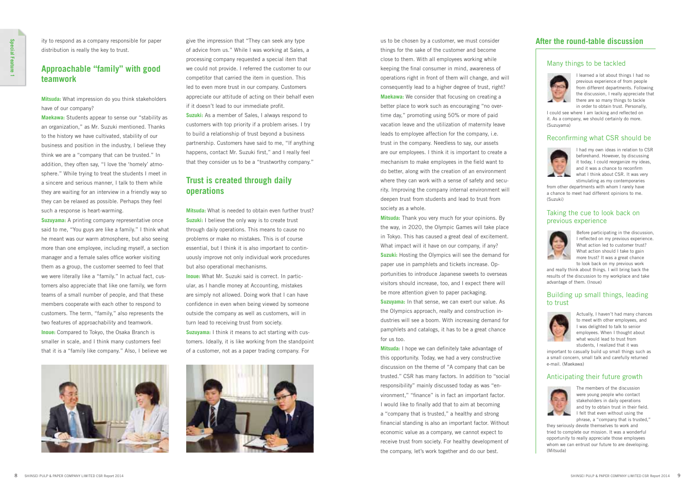us to be chosen by a customer, we must consider things for the sake of the customer and become close to them. With all employees working while keeping the final consumer in mind, awareness of operations right in front of them will change, and will consequently lead to a higher degree of trust, right? **Maekawa:** We consider that focusing on creating a better place to work such as encouraging "no overtime day," promoting using 50% or more of paid vacation leave and the utilization of maternity leave leads to employee affection for the company, i.e. trust in the company. Needless to say, our assets are our employees. I think it is important to create a mechanism to make employees in the field want to do better, along with the creation of an environment where they can work with a sense of safety and security. Improving the company internal environment will deepen trust from students and lead to trust from society as a whole.

**Mitsuda:** I hope we can definitely take advantage of this opportunity. Today, we had a very constructive discussion on the theme of "A company that can be trusted." CSR has many factors. In addition to "social responsibility" mainly discussed today as was "environment." "finance" is in fact an important factor. I would like to finally add that to aim at becoming a "company that is trusted," a healthy and strong financial standing is also an important factor. Without economic value as a company, we cannot expect to receive trust from society. For healthy development of the company, let's work together and do our best.

**Mitsuda:** Thank you very much for your opinions. By the way, in 2020, the Olympic Games will take place in Tokyo. This has caused a great deal of excitement. What impact will it have on our company, if any? **Suzuki:** Hosting the Olympics will see the demand for paper use in pamphlets and tickets increase. Opportunities to introduce Japanese sweets to overseas visitors should increase, too, and I expect there will be more attention given to paper packaging. **Suzuyama:** In that sense, we can exert our value. As the Olympics approach, realty and construction industries will see a boom. With increasing demand for pamphlets and catalogs, it has to be a great chance for us too.

**Suzuyama:** A printing company representative once said to me, "You guys are like a family." I think what he meant was our warm atmosphere, but also seeing more than one employee, including myself, a section manager and a female sales office worker visiting them as a group, the customer seemed to feel that we were literally like a "family." In actual fact, customers also appreciate that like one family, we form teams of a small number of people, and that these members cooperate with each other to respond to customers. The term, "family," also represents the two features of approachability and teamwork. **Inoue:** Compared to Tokyo, the Osaka Branch is smaller in scale, and I think many customers feel that it is a "family like company." Also, I believe we



ity to respond as a company responsible for paper distribution is really the key to trust.

### **Approachable "family" with good teamwork**

**Mitsuda:** What impression do you think stakeholders have of our company?

**Maekawa:** Students appear to sense our "stability as an organization," as Mr. Suzuki mentioned. Thanks to the history we have cultivated, stability of our business and position in the industry, I believe they think we are a "company that can be trusted." In addition, they often say, "I love the 'homely' atmosphere." While trying to treat the students I meet in a sincere and serious manner, I talk to them while they are waiting for an interview in a friendly way so they can be relaxed as possible. Perhaps they feel such a response is heart-warming.

I could see where I am lacking and reflected on it. As a company, we should certainly do more. (Suzuyama)

#### Reconfirming what CSR should be



give the impression that "They can seek any type of advice from us." While I was working at Sales, a processing company requested a special item that we could not provide. I referred the customer to our competitor that carried the item in question. This led to even more trust in our company. Customers appreciate our attitude of acting on their behalf even if it doesn't lead to our immediate profit. **Suzuki:** As a member of Sales, I always respond to customers with top priority if a problem arises. I try to build a relationship of trust beyond a business partnership. Customers have said to me, "If anything happens, contact Mr. Suzuki first," and I really feel that they consider us to be a "trustworthy company."

### **Trust is created through daily operations**

**Mitsuda:** What is needed to obtain even further trust? **Suzuki:** I believe the only way is to create trust through daily operations. This means to cause no problems or make no mistakes. This is of course essential, but I think it is also important to continuously improve not only individual work procedures but also operational mechanisms.

**Inoue:** What Mr. Suzuki said is correct. In particular, as I handle money at Accounting, mistakes are simply not allowed. Doing work that I can have confidence in even when being viewed by someone outside the company as well as customers, will in turn lead to receiving trust from society. **Suzuyama:** I think it means to act starting with cus-

tomers. Ideally, it is like working from the standpoint of a customer, not as a paper trading company. For



### **After the round-table discussion**

#### Anticipating their future growth



The members of the discussion were young people who contact stakeholders in daily operations and try to obtain trust in their field. I felt that even without using the phrase, a "company that is trusted,"

they seriously devote themselves to work and tried to complete our mission. It was a wonderful opportunity to really appreciate those employees whom we can entrust our future to are developing. (Mitsuda)

#### Building up small things, leading to trust



Actually, I haven't had many chances to meet with other employees, and I was delighted to talk to senior employees. When I thought about what would lead to trust from students, I realized that it was

important to casually build up small things such as a small concern, small talk and carefully returned e-mail. (Maekawa)

#### Taking the cue to look back on previous experience



Before participating in the discussion, I reflected on my previous experience. What action led to customer trust? What action should I take to gain more trust? It was a great chance to look back on my previous work

and really think about things. I will bring back the results of the discussion to my workplace and take advantage of them. (Inoue)

I had my own ideas in relation to CSR beforehand. However, by discussing it today, I could reorganize my ideas, and it was a chance to reconfirm what I think about CSR. It was very stimulating as my contemporaries

from other departments with whom I rarely have a chance to meet had different opinions to me. (Suzuki)

#### Many things to be tackled



I learned a lot about things I had no previous experience of from people from different departments. Following the discussion, I really appreciate that there are so many things to tackle in order to obtain trust. Personally,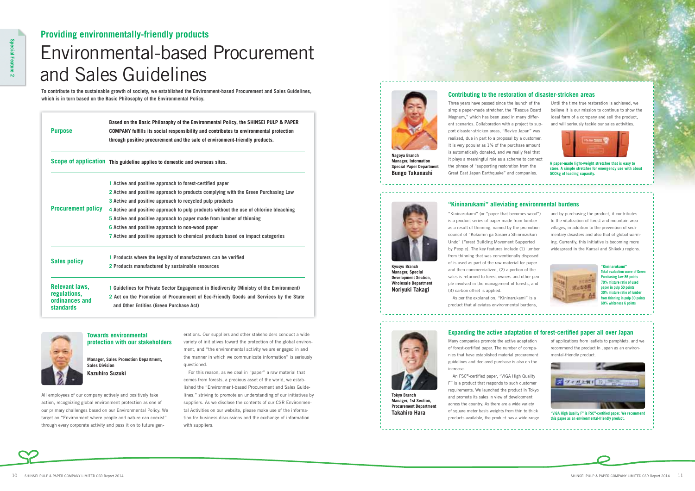## Environmental-based Procurement and Sales Guidelines **Providing environmentally-friendly products**

**To contribute to the sustainable growth of society, we established the Environment-based Procurement and Sales Guidelines, which is in turn based on the Basic Philosophy of the Environmental Policy.**

All employees of our company actively and positively take action, recognizing global environment protection as one of our primary challenges based on our Environmental Policy. We target an "Environment where people and nature can coexist" through every corporate activity and pass it on to future generations. Our suppliers and other stakeholders conduct a wide variety of initiatives toward the protection of the global environment, and "the environmental activity we are engaged in and the manner in which we communicate information" is seriously questioned.

For this reason, as we deal in "paper" a raw material that comes from forests, a precious asset of the world, we established the "Environment-based Procurement and Sales Guidelines," striving to promote an understanding of our initiatives by suppliers. As we disclose the contents of our CSR Environmental Activities on our website, please make use of the information for business discussions and the exchange of information with suppliers.

#### **Towards environmental protection with our stakeholders**

**Manager, Sales Promotion Department, Sales Division Kazuhiro Suzuki**



**Manager, Information Special Paper Department Bungo Takanashi**

Three years have passed since the launch of the simple paper-made stretcher, the "Rescue Board Magnum," which has been used in many different scenarios. Collaboration with a project to support disaster-stricken areas, "Revive Japan" was realized, due in part to a proposal by a customer. It is very popular as 1% of the purchase amount is automatically donated, and we really feel that it plays a meaningful role as a scheme to connect the phrase of "supporting restoration from the Great East Japan Earthquake" and companies.



Many companies promote the active adaptation of forest-certified paper. The number of companies that have established material procurement guidelines and declared purchase is also on the increase

An FSC®-certified paper, "VIGA High Quality F" is a product that responds to such customer requirements. We launched the product in Tokyo and promote its sales in view of development across the country. As there are a wide variety of square meter basis weights from thin to thick products available, the product has a wide range

Until the time true restoration is achieved, we believe it is our mission to continue to show the ideal form of a company and sell the product, and will seriously tackle our sales activities.



of applications from leaflets to pamphlets, and we recommend the product in Japan as an environmental-friendly product.

#### **Contributing to the restoration of disaster-stricken areas**

**A paper-made light-weight stretcher that is easy to store. A simple stretcher for emergency use with about 500kg of loading capacity.**

**Kyusyu Branch Manager, Special Development Section, Wholesale Department Noriyuki Takagi**



#### **"Kininarukami" alleviating environmental burdens**

"Kininarukami" (or "paper that becomes wood") is a product series of paper made from lumber as a result of thinning, named by the promotion council of "Kokumin ga Sasaeru Shinrinzukuri Undo" (Forest Building Movement Supported by People). The key features include (1) lumber from thinning that was conventionally disposed of is used as part of the raw material for paper and then commercialized, (2) a portion of the sales is returned to forest owners and other people involved in the management of forests, and (3) carbon offset is applied.

As per the explanation, "Kininarukami" is a product that alleviates environmental burdens,

#### **Expanding the active adaptation of forest-certified paper all over Japan**



※とむる目

**"Kininarukami" Total evaluation score of Green Purchasing Law 86 points 70% mixture ratio of used paper in pulp 50 points 30% mixture ratio of lumber from thinning in pulp 30 points 69% whiteness 6 points**

**Tokyo Branch Manager, 1st Section, Procurement Department Takahiro Hara**







| <b>Purpose</b>                                     | Based on the Basic Philosophy of the Environmental Policy, the SHINSEI PULP & PAPER<br>COMPANY fulfills its social responsibility and contributes to environmental protection<br>through positive procurement and the sale of environment-friendly products. |  |  |  |  |  |
|----------------------------------------------------|--------------------------------------------------------------------------------------------------------------------------------------------------------------------------------------------------------------------------------------------------------------|--|--|--|--|--|
|                                                    | Scope of application This guideline applies to domestic and overseas sites.                                                                                                                                                                                  |  |  |  |  |  |
|                                                    | 1 Active and positive approach to forest-certified paper                                                                                                                                                                                                     |  |  |  |  |  |
|                                                    | 2 Active and positive approach to products complying with the Green Purchasing Law                                                                                                                                                                           |  |  |  |  |  |
|                                                    | 3 Active and positive approach to recycled pulp products                                                                                                                                                                                                     |  |  |  |  |  |
| <b>Procurement policy</b>                          | 4 Active and positive approach to pulp products without the use of chlorine bleaching                                                                                                                                                                        |  |  |  |  |  |
|                                                    | 5 Active and positive approach to paper made from lumber of thinning                                                                                                                                                                                         |  |  |  |  |  |
|                                                    | 6 Active and positive approach to non-wood paper                                                                                                                                                                                                             |  |  |  |  |  |
|                                                    | 7 Active and positive approach to chemical products based on impact categories                                                                                                                                                                               |  |  |  |  |  |
| <b>Sales policy</b>                                | 1 Products where the legality of manufacturers can be verified                                                                                                                                                                                               |  |  |  |  |  |
|                                                    | 2 Products manufactured by sustainable resources                                                                                                                                                                                                             |  |  |  |  |  |
| <b>Relevant laws,</b>                              | 1 Guidelines for Private Sector Engagement in Biodiversity (Ministry of the Environment)                                                                                                                                                                     |  |  |  |  |  |
| regulations,<br>ordinances and<br><b>standards</b> | 2 Act on the Promotion of Procurement of Eco-Friendly Goods and Services by the State<br>and Other Entities (Green Purchase Act)                                                                                                                             |  |  |  |  |  |

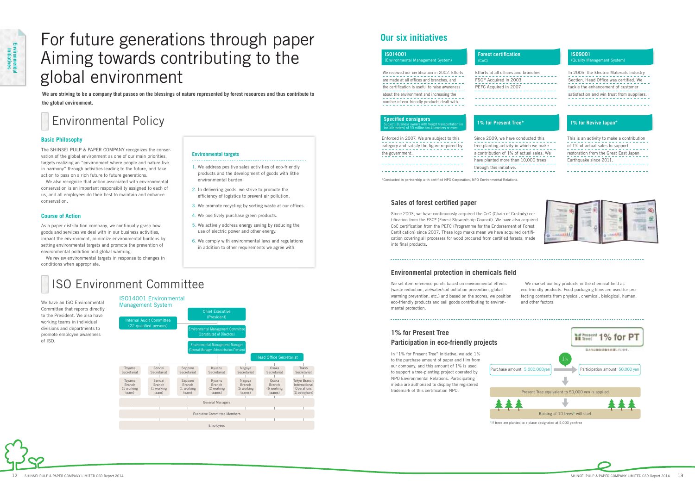We have an ISO Environmental Committee that reports directly to the President. We also have working teams in individual divisions and departments to promote employee awareness of ISO.

### ISO14001 Environmental



Since 2003, we have continuously acquired the CoC (Chain of Custody) certification from the FSC® (Forest Stewardship Council). We have also acquired CoC certification from the PEFC (Programme for the Endorsement of Forest Certification) since 2007. These logo marks mean we have acquired certification covering all processes for wood procured from certified forests, made into final products.

#### **Environmental protection in chemicals field**

The SHINSEI PULP & PAPER COMPANY recognizes the conservation of the global environment as one of our main priorities, targets realizing an "environment where people and nature live in harmony" through activities leading to the future, and take action to pass on a rich future to future generations.

We also recognize that action associated with environmental conservation is an important responsibility assigned to each of us, and all employees do their best to maintain and enhance conservation.

> We market our key products in the chemical field as eco-friendly products. Food packaging films are used for protecting contents from physical, chemical, biological, human, and other factors.

In "1% for Present Tree" initiative, we add 1% to the purchase amount of paper and film from our company, and this amount of 1% is used to support a tree-planting project operated by NPO Environmental Relations. Participating media are authorized to display the registered trademark of this certification NPO.

#### **Basic Philosophy**

As a paper distribution company, we continually grasp how goods and services we deal with in our business activities, impact the environment, minimize environmental burdens by setting environmental targets and promote the prevention of environmental pollution and global warming.

We review environmental targets in response to changes in conditions when appropriate.

#### **Course of Action**



\*If trees are planted to a place designated at 5,000 yen/tree



We set item reference points based on environmental effects (waste reduction, air/water/soil pollution prevention, global warming prevention, etc.) and based on the scores, we position eco-friendly products and sell goods contributing to environmental protection.

### **1% for Present Tree Participation in eco-friendly projects**

### **Our six initiatives**

#### **ISO9001**  (Quality Management System)

1. We address positive sales activities of eco-friendly products and the development of goods with little environmental burden.

- 2. In delivering goods, we strive to promote the efficiency of logistics to prevent air pollution.
- 3. We promote recycling by sorting waste at our offices.
- 4. We positively purchase green products.
- 5. We actively address energy saving by reducing the use of electric power and other energy.
- 6. We comply with environmental laws and regulations in addition to other requirements we agree with.

#### **Environmental targets**

## Environmental Policy

## ISO Environment Committee

## For future generations through paper Aiming towards contributing to the global environment

**We are striving to be a company that passes on the blessings of nature represented by forest resources and thus contribute to the global environment.**

| <b>IS014001</b>                                                                                                                                                                                                                          | <b>Forest certification</b>                                                                       |  |  |  |  |
|------------------------------------------------------------------------------------------------------------------------------------------------------------------------------------------------------------------------------------------|---------------------------------------------------------------------------------------------------|--|--|--|--|
| (Environmental Management System)                                                                                                                                                                                                        | (CoC)                                                                                             |  |  |  |  |
| We received our certification in 2002. Efforts<br>are made at all offices and branches, and<br>the certification is useful to raise awareness<br>about the environment and increasing the<br>number of eco-friendly products dealt with. | Efforts at all offices and branches<br>FSC <sup>®</sup> Acquired in 2003<br>PEFC Acquired in 2007 |  |  |  |  |
| <b>Specified consignors</b><br>Subject: Business owners with freight transportation (in<br>ton-kilometers) of 30 million ton-kilometers or more                                                                                          | 1% for Present Tree*                                                                              |  |  |  |  |
| Enforced in 2007. We are subject to this                                                                                                                                                                                                 | Since 2009, we have conducted this                                                                |  |  |  |  |
| category and satisfy the figure required by                                                                                                                                                                                              | tree planting activity in which we make                                                           |  |  |  |  |
| the government.                                                                                                                                                                                                                          | a contribution of 1% of actual sales. We                                                          |  |  |  |  |

In 2005, the Electric Materials Industry Section, Head Office was certified. We tackle the enhancement of customer satisfaction and win trust from suppliers.

#### **1% for Revive Japan\***

have planted more than 10,000 trees

through this initiative.

\*Conducted in partnership with certified NPO Corporation, NPO Environmental Relations

#### **Sales of forest certified paper**

\_\_\_\_\_\_\_\_\_\_\_\_\_\_\_\_\_\_\_\_\_\_\_\_\_\_\_

This is an activity to make a contribution of 1% of actual sales to support restoration from the Great East Japan Earthquake since 2011.



\_\_\_\_\_\_\_\_\_\_\_\_\_\_\_\_\_\_\_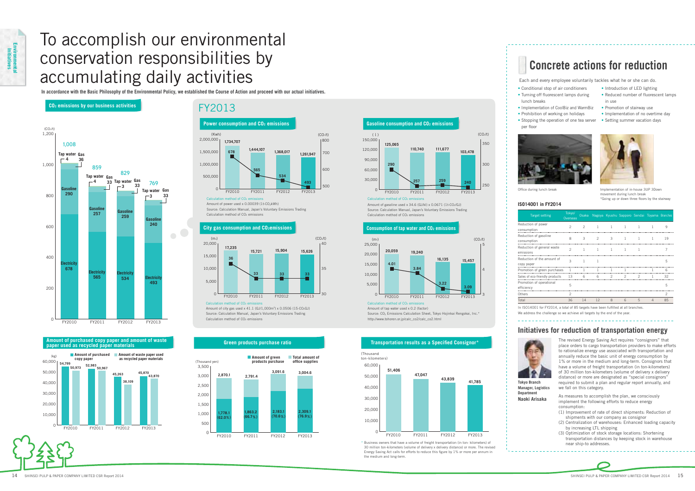### FY2013

## To accomplish our environmental conservation responsibilities by accumulating daily activities

**In accordance with the Basic Philosophy of the Environmental Policy, we established the Course of Action and proceed with our actual initiatives.**

### **Initiatives for reduction of transportation energy**

The revised Energy Saving Act requires "consignors" that place orders to cargo transportation providers to make efforts to rationalize energy use associated with transportation and annually reduce the basic unit of energy consumption by 1% or more in the medium and long-term. Consignors that have a volume of freight transportation (in ton-kilometers) of 30 million ton-kilometers (volume of delivery x delivery distance) or more are designated as "special consignors" required to submit a plan and regular report annually, and we fall on this category.

As measures to accomplish the plan, we consciously implement the following efforts to reduce energy consumption:

- (1) Improvement of rate of direct shipments: Reduction of shipments with our company as consignor
- (2) Centralization of warehouses: Enhanced loading capacity by increasing LTL shipping
- (3) Optimization of stock storage locations: Shortening transportation distances by keeping stock in warehouse near ship-to addresses.



In ISO14001 for FY2014, a total of 85 targets have been fulfilled at all branches. We address the challenge so we achieve all targets by the end of the year.

- Conditional stop of air conditioners • Turning off fluorescent lamps during
- lunch breaks
- Implementation of CoolBiz and WarmBiz • Prohibition of working on holidays
- Stopping the operation of one tea server Setting summer vacation days per floor





• Introduction of LED lighting • Reduced number of fluorescent lamps in use

- Promotion of stairway use
- Implementation of no overtime day
- 



ovement during lunch break \*Going up or down three floors by the stairway

Office during lunch break Implementation of in-house 3UP 3Down



Calculation method of  $CO<sub>2</sub>$  e Amount of tap water used x 0.2 (factor) Source: CO2 Emissions Calculation Sheet, Tokyo Hojinkai Rengokai, Inc.\* http://www.tohoren.or.jp/calc\_co2/calc\_co2.html

### **parts in the paper materials in the cycle of the Constantine Constantine Constantine Constantine Constantine Constantine Constantine Constantine Constantine Constantine Constantine Constantine Constantine Constantine Cons**



Amount of power used x 0.00039 (1t-CO2kWh) Source: Calculation Manual, Japan's Voluntary Emissions Trading Calculation method of CO<sub>2</sub> emissions



#### **ISO14001 in FY2014**

Amount of city gas used x 41.1 (GJ/1,000m3) x 0.0506 (15-CO2GJ) Source: Calculation Manual, Japan's Voluntary Emissions Trading Calculation method of CO<sub>2</sub> emissions

| <b>Target setting</b>                    | Tokyo/<br>Overseas | Osaka         |                |                | Nagoya Kyushu Sapporo Sendai Toyama Branches |              |          |    |
|------------------------------------------|--------------------|---------------|----------------|----------------|----------------------------------------------|--------------|----------|----|
| Reduction of power<br>consumption        | $\mathfrak{D}$     | $\mathcal{P}$ | $\mathbf{1}$   | $\overline{1}$ | <sup>1</sup>                                 | $\mathbf{1}$ | 1        | q  |
| Reduction of gasoline<br>consumption     | 8                  | 3             | $\mathfrak{D}$ | 3              | 1                                            |              |          | 19 |
| Reduction of general waste<br>emissions  | $\mathfrak{D}$     | $\mathbf{1}$  | $\mathbf{1}$   | 1              | 1                                            |              |          | 7  |
| Reduction of the amount of<br>copy paper | 3                  | 1             | 1              |                |                                              |              |          | 5  |
| Promotion of green purchases             | 1                  |               | 1              |                |                                              |              |          | 6  |
| Sales of eco-friendly products           | 13                 | 6             | 6              | $\mathcal{P}$  | 2                                            | 2            |          | 32 |
| Promotion of operational<br>efficiency   | 5                  |               |                |                |                                              |              |          | 5  |
| Others                                   | $\mathcal{P}$      |               |                |                |                                              |              |          | 2  |
| Total                                    | 36                 | 14            | 12             | 8              | 6                                            | 5            | $\Delta$ | 85 |

#### Calculation method of CO  $\Omega$ 30,000 60,000 90,000 120,000 150,000 FY2010 FY2011 FY2012 FY2013 **103,478 125,065 110,740 111,677**  $250$ 300 350 **240 290 257 259** (equation of  $CO_2/t$ ) (contract to  $CO_2/t$ ) **Gasoline consumption and CO2 emissions**

Amount of gasoline used x 34.6 (GJ/kl) x  $0.0671$  (1t-CO<sub>2</sub>/GJ) Source: Calculation Manual, Japan's Voluntary Emissions Trading Calculation method of  $CO<sub>2</sub>$  emissions

#### **City gas consumption and CO<sub>2</sub> emissions <b>CO2** emissions **CO2** emissions **CO2** emissions

Each and every employee voluntarily tackles what he or she can do.

## **Concrete actions for reduction**



4

5







od of CO



**Tokyo Branch Manager, Logistics Department Naoki Arisaka**

\* Business owners that have a volume of freight transportation (in ton- kilometers) of 30 million ton-kilometers (volume of delivery x delivery distance) or more. The revised Energy Saving Act calls for efforts to reduce this figure by 1% or more per annum in the medium and long-term.

**CO2 emissions by our business activities** 

### **Amount of purchased copy paper and amount of waste**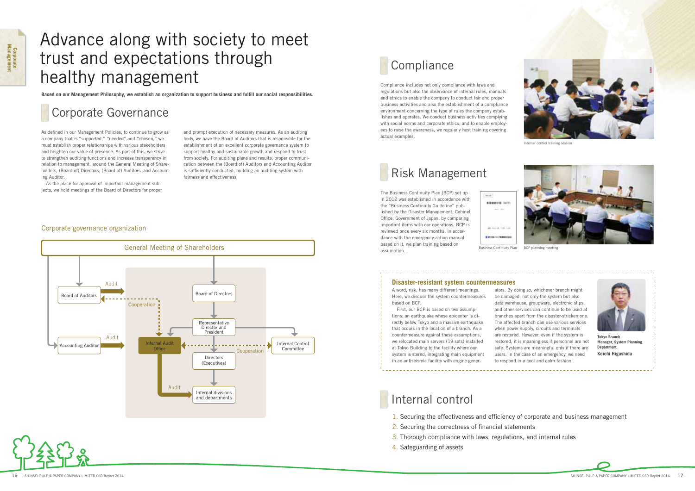## Advance along with society to meet trust and expectations through healthy management

**Based on our Management Philosophy, we establish an organization to support business and fulfill our social responsibilities.** 

## Corporate Governance

As defined in our Management Policies, to continue to grow as a company that is "supported," "needed" and "chosen," we must establish proper relationships with various stakeholders and heighten our value of presence. As part of this, we strive to strengthen auditing functions and increase transparency in relation to management, around the General Meeting of Shareholders, (Board of) Directors, (Board of) Auditors, and Accounting Auditor.

As the place for approval of important management subjects, we hold meetings of the Board of Directors for proper and prompt execution of necessary measures. As an auditing body, we have the Board of Auditors that is responsible for the establishment of an excellent corporate governance system to support healthy and sustainable growth and respond to trust from society. For auditing plans and results, proper communication between the (Board of) Auditors and Accounting Auditor is sufficiently conducted, building an auditing system with fairness and effectiveness.

> The Business Continuity Plan (BCP) set up in 2012 was established in accordance with the "Business Continuity Guideline" published by the Disaster Management, Cabinet Office, Government of Japan, by comparing important items with our operations. BCP is reviewed once every six months. In accordance with the emergency action manual based on it, we plan training based on assumption. The continuity Plan Business Continuity Plan BCP planning meeting



#### Corporate governance organization





## **Compliance**

Compliance includes not only compliance with laws and regulations but also the observance of internal rules, manuals and ethics to enable the company to conduct fair and proper business activities and also the establishment of a compliance environment concerning the type of rules the company establishes and operates. We conduct business activities complying with social norms and corporate ethics, and to enable employees to raise the awareness, we regularly host training covering actual examples.



Internal control training session



## Risk Management

## Internal control

- 1. Securing the effectiveness and efficiency of corporate and business management
- 2. Securing the correctness of financial statements
- 3. Thorough compliance with laws, regulations, and internal rules
- 4. Safeguarding of assets



**Tokyo Branch Manager, System Planning Department Koichi Higashida**



A word, risk, has many different meanings. Here, we discuss the system countermeasures based on BCP.

First, our BCP is based on two assumptions: an earthquake whose epicenter is directly below Tokyo and a massive earthquake that occurs in the location of a branch. As a countermeasure against these assumptions, we relocated main servers (19 sets) installed at Tokyo Building to the facility where our system is stored, integrating main equipment in an antiseismic facility with engine gener-

ators. By doing so, whichever branch might be damaged, not only the system but also data warehouse, groupware, electronic slips, and other services can continue to be used at branches apart from the disaster-stricken one. The affected branch can use various services when power supply, circuits and terminals are restored. However, even if the system is restored, it is meaningless if personnel are not safe. Systems are meaningful only if there are users. In the case of an emergency, we need to respond in a cool and calm fashion.

#### **Disaster-resistant system countermeasures**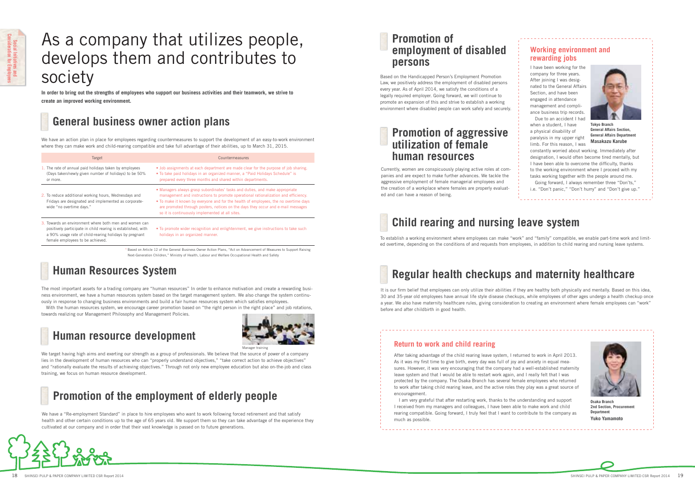## As a company that utilizes people, develops them and contributes to society

**In order to bring out the strengths of employees who support our business activities and their teamwork, we strive to create an improved working environment.** 

#### **Working environment and rewarding jobs**

I have been working for the company for three years. After joining I was designated to the General Affairs Section, and have been engaged in attendance management and compliance business trip records.

Due to an accident I had when a student, I have a physical disability of paralysis in my upper right limb. For this reason, I was



constantly worried about working. Immediately after designation, I would often become tired mentally, but I have been able to overcome the difficulty, thanks to the working environment where I proceed with my tasks working together with the people around me. Going forward, I always remember three "Don'ts,"

i.e. "Don't panic," "Don't hurry" and "Don't give up."

**Tokyo Branch General Affairs Section, General Affairs Department Masakazu Karube**

### **Return to work and child rearing**

After taking advantage of the child rearing leave system, I returned to work in April 2013. As it was my first time to give birth, every day was full of joy and anxiety in equal measures. However, it was very encouraging that the company had a well-established maternity leave system and that I would be able to restart work again, and I really felt that I was protected by the company. The Osaka Branch has several female employees who returned to work after taking child rearing leave, and the active roles they play was a great source of encouragement.

I am very grateful that after restarting work, thanks to the understanding and support I received from my managers and colleagues, I have been able to make work and child rearing compatible. Going forward, I truly feel that I want to contribute to the company as much as possible.



**Osaka Branch 2nd Section, Procurement Department Yuko Yamamoto**



We have an action plan in place for employees regarding countermeasures to support the development of an easy-to-work environment where they can make work and child-rearing compatible and take full advantage of their abilities, up to March 31, 2015.

| Target                                                                                                                                                                                                               | Countermeasures                                                                                                                                                                                                                                                                                                                                                                                   |  |  |  |  |  |
|----------------------------------------------------------------------------------------------------------------------------------------------------------------------------------------------------------------------|---------------------------------------------------------------------------------------------------------------------------------------------------------------------------------------------------------------------------------------------------------------------------------------------------------------------------------------------------------------------------------------------------|--|--|--|--|--|
| 1. The rate of annual paid holidays taken by employees<br>(Days taken/newly given number of holidays) to be 50%<br>or more.                                                                                          | • Job assignments at each department are made clear for the purpose of job sharing.<br>• To take paid holidays in an organized manner, a "Paid Holidays Schedule" is<br>prepared every three months and shared within departments.                                                                                                                                                                |  |  |  |  |  |
| 2. To reduce additional working hours, Wednesdays and<br>Fridays are designated and implemented as corporate-<br>wide "no overtime days."                                                                            | • Managers always grasp subordinates' tasks and duties, and make appropriate<br>management and instructions to promote operational rationalization and efficiency.<br>• To make it known by everyone and for the health of employees, the no overtime days<br>are promoted through posters, notices on the days they occur and e-mail messages<br>so it is continuously implemented at all sites. |  |  |  |  |  |
| 3. Towards an environment where both men and women can<br>positively participate in child rearing is established, with<br>a 90% usage rate of child-rearing holidays by pregnant<br>female employees to be achieved. | • To promote wider recognition and enlightenment, we give instructions to take such<br>holidays in an organized manner.                                                                                                                                                                                                                                                                           |  |  |  |  |  |

It is our firm belief that employees can only utilize their abilities if they are healthy both physically and mentally. Based on this idea, 30 and 35-year old employees have annual life style disease checkups, while employees of other ages undergo a health checkup once a year. We also have maternity healthcare rules, giving consideration to creating an environment where female employees can "work" before and after childbirth in good health.

\* Based on Article 12 of the General Business Owner Action Plans, "Act on Advancement of Measures to Support Raising Next-Generation Children," Ministry of Health, Labour and Welfare Occupational Health and Safety

## **General business owner action plans**

The most important assets for a trading company are "human resources" In order to enhance motivation and create a rewarding business environment, we have a human resources system based on the target management system. We also change the system continuously in response to changing business environments and build a fair human resources system which satisfies employees.

With the human resources system, we encourage career promotion based on "the right person in the right place" and job rotations, towards realizing our Management Philosophy and Management Policies.

## **Human Resources System**

We have a "Re-employment Standard" in place to hire employees who want to work following forced retirement and that satisfy health and other certain conditions up to the age of 65 years old. We support them so they can take advantage of the experience they cultivated at our company and in order that their vast knowledge is passed on to future generations.



## **Promotion of the employment of elderly people**

Based on the Handicapped Person's Employment Promotion Law, we positively address the employment of disabled persons every year. As of April 2014, we satisfy the conditions of a legally required employer. Going forward, we will continue to promote an expansion of this and strive to establish a working environment where disabled people can work safely and securely.

### **Promotion of employment of disabled persons**

## **Child rearing and nursing leave system**

To establish a working environment where employees can make "work" and "family" compatible, we enable part-time work and limited overtime, depending on the conditions of and requests from employees, in addition to child rearing and nursing leave systems.

## **Regular health checkups and maternity healthcare**

We target having high aims and exerting our strength as a group of professionals. We believe that the source of power of a company lies in the development of human resources who can "properly understand objectives," "take correct action to achieve objectives" and "rationally evaluate the results of achieving objectives." Through not only new employee education but also on-the-job and class training, we focus on human resource development.

### **Human resource development**



Manager training

Currently, women are conspicuously playing active roles at companies and are expect to make further advances. We tackle the aggressive employment of female managerial employees and the creation of a workplace where females are properly evaluated and can have a reason of being.

### **Promotion of aggressive utilization of female human resources**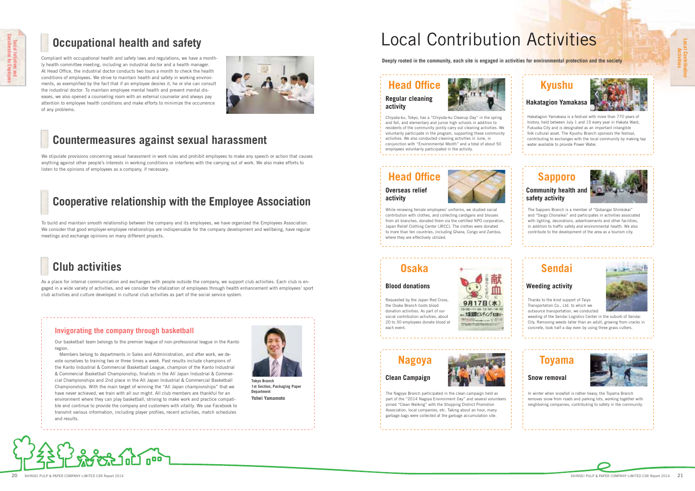**Local Contribution** 

## Local Contribution Activities

**Activities**

**Deeply rooted in the community, each site is engaged in activities for environmental protection and the society**

Chiyoda-ku, Tokyo, has a "Chiyoda-ku Cleanup Day" and fall, and elementary and junior high schools in addition to residents of the community jointly carry out cleaning activities. We voluntarily participate in the program, supporting these community activities. We also conducted cleaning activities in June, in conjunction with "Environmental Month" and a total of about 50 employees voluntarily participated in the activity.

**Head Office Regular cleaning activity**



While renewing female employees' uniforms, we studied social contribution with clothes, and collecting cardigans and blouses from all branches, donated them via the certified NPO corporation, Japan Relief Clothing Center (JRCC). The clothes were donated to more than ten countries, including Ghana, Congo and Zambia, where they are effectively utilized.

## **Kyushu**

Hakatagion Yamakasa is a festival with more than 770 years of history, held between July 1 and 15 every year in Hakata Ward, Fukuoka City and is designated as an important intangible folk cultural asset. The Kyushu Branch sponsors the festival, contributing to exchanges with the local community by making tap water available to provide Power Water.

**Hakatagion Yamakasa**



### **Head Office Overseas relief activity**



### **Sapporo**

The Sapporo Branch is a member of "Gobangai Shinkokai" and "Daigo Chonaikai" and participates in activities associated with lighting, decorations, advertisements and other facilities, in addition to traffic safety and environmental health. We also contribute to the development of the area as a tourism city.

#### **Community health and safety activity**



### **Osaka**

Requested by the Japan Red Cross, the Osaka Branch hosts blood donation activities. As part of our social contribution activities, about 20 to 30 employees donate blood at each event.



#### **Blood donations**

### **Sendai**

- Thanks to the kind support of Taiyo Transportation Co., Ltd. to which we outsource transportation, we conducted
- weeding of the Sendai Logistics Center in the suburb of Sendai City. Removing weeds taller than an adult, growing from cracks in concrete, took half a day even by using three grass cutters.

### **Weeding activity**

## **Nagoya**

The Nagoya Branch participated in the clean campaign held as part of the "2014 Nagoya Environment Day" and several volunteers ioined "Clean Walking" with the Shopping District Promotion Association, local companies, etc. Taking about an hour, many garbage bags were collected at the garbage accumulation site.

**Clean Campaign**



## **Toyama**

In winter when snowfall is rather heavy, the Toyama Branch removes snow from roads and parking lots, working together with neighboring companies, contributing to safety in the community.



#### **Snow removal**



#### **Invigorating the company through basketball**

Our basketball team belongs to the premier league of non-professional league in the Kanto region.

Members belong to departments in Sales and Administration, and after work, we devote ourselves to training two or three times a week. Past results include champions of the Kanto Industrial & Commercial Basketball League, champion of the Kanto Industrial & Commercial Basketball Championship, finalists in the All Japan Industrial & Commercial Championships and 2nd place in the All Japan Industrial & Commercial Basketball Championships. With the main target of winning the "All Japan championships" that we have never achieved, we train with all our might. All club members are thankful for an environment where they can play basketball, striving to make work and practice compatible and continue to provide the company and customers with vitality. We use Facebook to transmit various information, including player profiles, recent activities, match schedules and results.



**Tokyo Branch 1st Section, Packaging Paper Department Yohei Yamamoto**

## **Countermeasures against sexual harassment**

We stipulate provisions concerning sexual harassment in work rules and prohibit employees to make any speech or action that causes anything against other people's interests in working conditions or interferes with the carrying out of work. We also make efforts to listen to the opinions of employees as a company, if necessary.

## **Occupational health and safety**

Compliant with occupational health and safety laws and regulations, we have a monthly health committee meeting, including an industrial doctor and a health manager. At Head Office, the industrial doctor conducts two tours a month to check the health conditions of employees. We strive to maintain health and safety in working environments, as exemplified by the fact that if an employee desires it, he or she can consult the industrial doctor. To maintain employee mental health and prevent mental diseases, we also opened a counseling room with an external counselor and always pay attention to employee health conditions and make efforts to minimize the occurrence of any problems.



## **Cooperative relationship with the Employee Association**

To build and maintain smooth relationship between the company and its employees, we have organized the Employees Association. We consider that good employer-employee relationships are indispensable for the company development and wellbeing, have regular meetings and exchange opinions on many different projects.



As a place for internal communication and exchanges with people outside the company, we support club activities. Each club is engaged in a wide variety of activities, and we consider the vitalization of employees through health enhancement with employees' sport club activities and culture developed in cultural club activities as part of the social service system.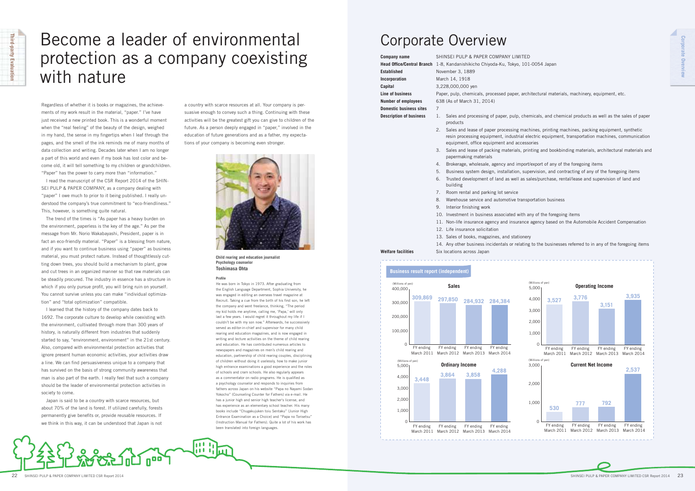## Become a leader of environmental protection as a company coexisting with nature



Regardless of whether it is books or magazines, the achievements of my work result in the material, "paper." I've have just received a new printed book. This is a wonderful moment when the "real feeling" of the beauty of the design, weighed in my hand, the sense in my fingertips when I leaf through the pages, and the smell of the ink reminds me of many months of data collection and writing. Decades later when I am no longer a part of this world and even if my book has lost color and become old, it will tell something to my children or grandchildren. "Paper" has the power to carry more than "information."

I read the manuscript of the CSR Report 2014 of the SHIN-SEI PULP & PAPER COMPANY, as a company dealing with "paper" I owe much to prior to it being published. I really understood the company's true commitment to "eco-friendliness." This, however, is something quite natural.

The trend of the times is "As paper has a heavy burden on the environment, paperless is the key of the age." As per the message from Mr. Norio Wakabayashi, President, paper is in fact an eco-friendly material. "Paper" is a blessing from nature, and if you want to continue business using "paper" as business material, you must protect nature. Instead of thoughtlessly cutting down trees, you should build a mechanism to plant, grow and cut trees in an organized manner so that raw materials can be steadily procured. The industry in essence has a structure in which if you only pursue profit, you will bring ruin on yourself. You cannot survive unless you can make "individual optimization" and "total optimization" compatible.

I learned that the history of the company dates back to 1692. The corporate culture to develop while coexisting with the environment, cultivated through more than 300 years of history, is naturally different from industries that suddenly started to say, "environment, environment" in the 21st century. Also, compared with environmental protection activities that ignore present human economic activities, your activities draw a line. We can find persuasiveness unique to a company that has survived on the basis of strong community awareness that man is also part of the earth. I really feel that such a company should be the leader of environmental protection activities in society to come.

**Company name** SHINSEI PULP & PAPER COMPANY LIMITED **Head Office/Central Branch** 1-8, Kandanishikicho Chiyoda-Ku, Tokyo, 101-0054 Japan

Japan is said to be a country with scarce resources, but about 70% of the land is forest. If utilized carefully, forests permanently give benefits or, provide reusable resources. If we think in this way, it can be understood that Japan is not

a country with scarce resources at all. Your company is persuasive enough to convey such a thing. Continuing with these activities will be the greatest gift you can give to children of the future. As a person deeply engaged in "paper," involved in the education of future generations and as a father, my expectations of your company is becoming even stronger.



#### **Profi le**

 $1111$ itt ti

#### **Business result report (independent)** 400,000 (Millions of yen) **309,869** FY ending March 2011 **297,850** FY ending March 2012 March 2014 March 2013 **284,384 284,932** FY ending FY ending 300,000 200,000 100,000 0 5,000 (Millions of yen) 4,000 3,000 2,000 1,000 0 **3,864 3,858 4,288 3,448** FY ending March 2011 March 2012 March 2014 March 2013 FY ending FY ending FY ending

He was born in Tokyo in 1973. After graduating from the English Language Department, Sophia University, he was engaged in editing an overseas travel magazine at Recruit. Taking a cue from the birth of his first son, he left the company and went freelance, thinking, "The period my kid holds me anytime, calling me, 'Papa,' will only last a few years. I would regret it throughout my life if I couldn't be with my son now." Afterwards, he successively served as editor-in-chief and supervisor for many child rearing and education magazines, and is now engaged in writing and lecture activities on the theme of child rearing and education. He has contributed numerous articles to newspapers and magazines on men's child rearing and education, partnership of child rearing couples, disciplining of children without doing it uselessly, how to make junior high entrance examinations a good experience and the roles of schools and cram schools. He also regularly appears as a commentator on radio programs. He is qualified as a psychology counselor and responds to inquiries from fathers across Japan on his website "Papa no Nayami Sodan Yokocho" (Counseling Counter for Fathers) via e-mail. He has a junior high and senior high teacher's license, and has experience as an elementary school teacher. His many books include "Chugakujuken toiu Sentaku" (Junior High Entrance Examination as a Choice) and "Papa no Torisetsu" (Instruction Manual for Fathers). Quite a lot of his work has been translated into foreign languages.

**Established** November 3, 1889 **Incorporation** March 14, 1918 **Capital** 3,228,000,000 yen **Domestic business sites** 7

**Line of business** Paper, pulp, chemicals, processed paper, architectural materials, machinery, equipment, etc. **Number of employees** 638 (As of March 31, 2014)

**Description of business** 1. Sales and processing of paper, pulp, chemicals, and chemical products as well as the sales of paper

- products
- 2. Sales and lease of paper processing machines, printing machines, packing equipment, synthetic resin processing equipment, industrial electric equipment, transportation machines, communication equipment, office equipment and accessories
- 3. Sales and lease of packing materials, printing and bookbinding materials, architectural materials and papermaking materials
- 4. Brokerage, wholesale, agency and import/export of any of the foregoing items
- 5. Business system design, installation, supervision, and contracting of any of the foregoing items 6. Trusted development of land as well as sales/purchase, rental/lease and supervision of land and building
- 7. Room rental and parking lot service
- 8. Warehouse service and automotive transportation business
- 9. Interior finishing work
- 10. Investment in business associated with any of the foregoing items
- 11. Non-life insurance agency and insurance agency based on the Automobile Accident Compensation
- 12. Life insurance solicitation
- 13. Sales of books, magazines, and stationery
- 

#### **Welfare facilities** Six locations across Japan

14. Any other business incidentals or relating to the businesses referred to in any of the foregoing items

## Corporate Overview





**Child rearing and education journalist Psychology counselor Toshimasa Ohta**